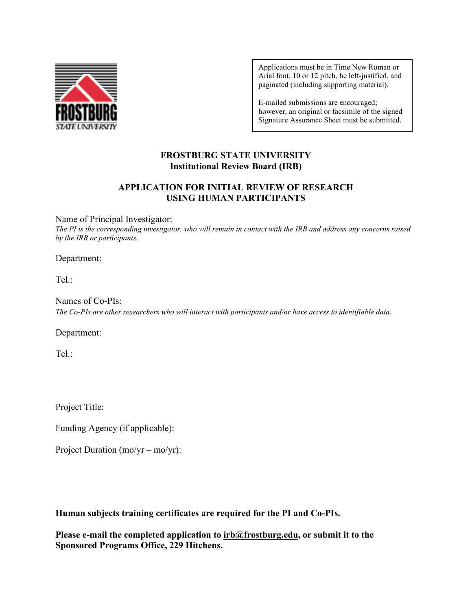

Applications must be in Time New Roman or Arial font, 10 or 12 pitch, be left-justified, and paginated (including supporting material).

E-mailed submissions are encouraged; however, an original or facsimile of the signed Signature Assurance Sheet must be submitted.

# **FROSTBURG STATE UNIVERSITY Institutional Review Board (IRB)**

# **APPLICATION FOR INITIAL REVIEW OF RESEARCH USING HUMAN PARTICIPANTS**

## Name of Principal Investigator:

*The PI is the corresponding investigator, who will remain in contact with the IRB and address any concerns raised by the IRB or participants.*

#### Department:

Tel.:

Names of Co-PIs: *The Co-PIs are other researchers who will interact with participants and/or have access to identifiable data.*

Department:

Tel.:

Project Title:

Funding Agency (if applicable):

Project Duration (mo/yr – mo/yr):

**Human subjects training certificates are required for the PI and Co-PIs.**

**Please e-mail the completed application to [irb@frostburg.edu,](mailto:irb@frostburg.edu) or submit it to the Sponsored Programs Office, 229 Hitchens.**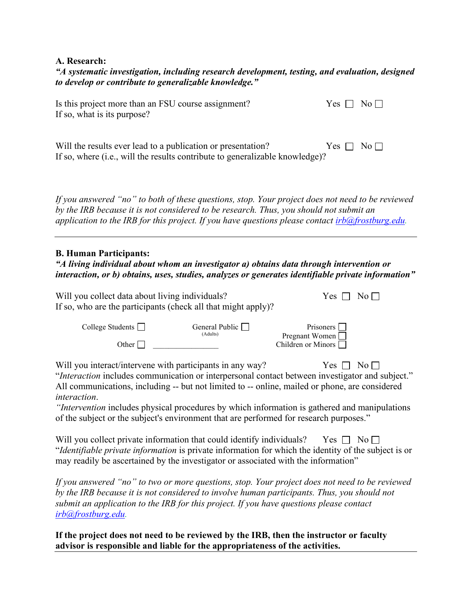#### **A. Research:**

*"A systematic investigation, including research development, testing, and evaluation, designed to develop or contribute to generalizable knowledge."*

| Is this project more than an FSU course assignment?<br>If so, what is its purpose?                                                                                                                                                                                                                                                                                              | $Yes \Box$ | $\overline{N_0}$    |  |  |  |  |  |
|---------------------------------------------------------------------------------------------------------------------------------------------------------------------------------------------------------------------------------------------------------------------------------------------------------------------------------------------------------------------------------|------------|---------------------|--|--|--|--|--|
| Will the results ever lead to a publication or presentation?<br>If so, where (i.e., will the results contribute to generalizable knowledge)?                                                                                                                                                                                                                                    | Yes $\Box$ | $\mathrm{No}\,\Box$ |  |  |  |  |  |
| If you answered "no" to both of these questions, stop. Your project does not need to be reviewed<br>by the IRB because it is not considered to be research. Thus, you should not submit an<br>application to the IRB for this project. If you have questions please contact $irb@frostburg.edu$ .                                                                               |            |                     |  |  |  |  |  |
| <b>B. Human Participants:</b><br>"A living individual about whom an investigator a) obtains data through intervention or<br>interaction, or b) obtains, uses, studies, analyzes or generates identifiable private information"                                                                                                                                                  |            |                     |  |  |  |  |  |
| Will you collect data about living individuals?<br>If so, who are the participants (check all that might apply)?                                                                                                                                                                                                                                                                | Yes        | $No \Box$           |  |  |  |  |  |
| College Students $\Box$<br>General Public $\Box$<br>Prisoners  <br>(Adults)<br>Pregnant Women<br>Other $\Box$<br>Children or Minors                                                                                                                                                                                                                                             |            |                     |  |  |  |  |  |
| Will you interact/intervene with participants in any way?<br>"Interaction includes communication or interpersonal contact between investigator and subject."<br>All communications, including -- but not limited to -- online, mailed or phone, are considered<br>interaction.<br>"Intervention includes physical procedures by which information is gathered and manipulations | Yes 1      | $\overline{N_0}$    |  |  |  |  |  |

of the subject or the subject's environment that are performed for research purposes."

| Will you collect private information that could identify individuals? Yes $\Box$ No $\Box$                 |  |  |  |
|------------------------------------------------------------------------------------------------------------|--|--|--|
| <i>diantifiable private information</i> is private information for which the identity of the subject is or |  |  |  |
| may readily be ascertained by the investigator or associated with the information"                         |  |  |  |

*If you answered "no" to two or more questions, stop. Your project does not need to be reviewed by the IRB because it is not considered to involve human participants. Thus, you should not submit an application to the IRB for this project. If you have questions please contact [irb@frostburg.edu.](mailto:irb@frostburg.edu)* 

**If the project does not need to be reviewed by the IRB, then the instructor or faculty advisor is responsible and liable for the appropriateness of the activities.**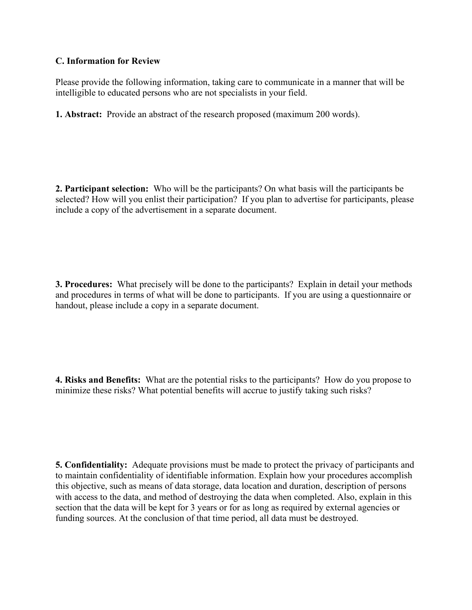## **C. Information for Review**

Please provide the following information, taking care to communicate in a manner that will be intelligible to educated persons who are not specialists in your field.

**1. Abstract:** Provide an abstract of the research proposed (maximum 200 words).

**2. Participant selection:** Who will be the participants? On what basis will the participants be selected? How will you enlist their participation? If you plan to advertise for participants, please include a copy of the advertisement in a separate document.

**3. Procedures:** What precisely will be done to the participants? Explain in detail your methods and procedures in terms of what will be done to participants. If you are using a questionnaire or handout, please include a copy in a separate document.

**4. Risks and Benefits:** What are the potential risks to the participants? How do you propose to minimize these risks? What potential benefits will accrue to justify taking such risks?

**5. Confidentiality:** Adequate provisions must be made to protect the privacy of participants and to maintain confidentiality of identifiable information. Explain how your procedures accomplish this objective, such as means of data storage, data location and duration, description of persons with access to the data, and method of destroying the data when completed. Also, explain in this section that the data will be kept for 3 years or for as long as required by external agencies or funding sources. At the conclusion of that time period, all data must be destroyed.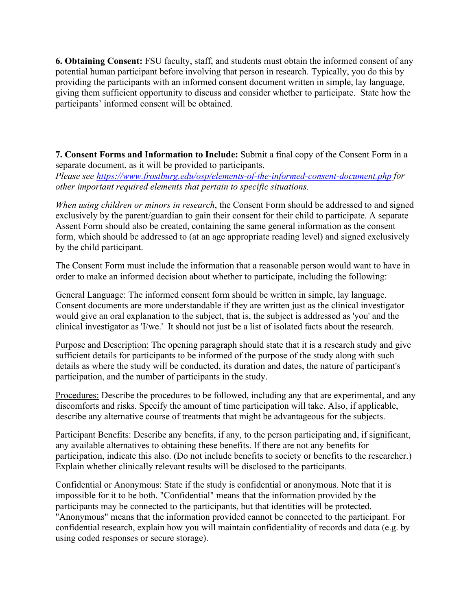**6. Obtaining Consent:** FSU faculty, staff, and students must obtain the informed consent of any potential human participant before involving that person in research. Typically, you do this by providing the participants with an informed consent document written in simple, lay language, giving them sufficient opportunity to discuss and consider whether to participate. State how the participants' informed consent will be obtained.

**7. Consent Forms and Information to Include:** Submit a final copy of the Consent Form in a separate document, as it will be provided to participants. *Please see<https://www.frostburg.edu/osp/elements-of-the-informed-consent-document.php> for other important required elements that pertain to specific situations.*

*When using children or minors in research*, the Consent Form should be addressed to and signed exclusively by the parent/guardian to gain their consent for their child to participate. A separate Assent Form should also be created, containing the same general information as the consent form, which should be addressed to (at an age appropriate reading level) and signed exclusively by the child participant.

The Consent Form must include the information that a reasonable person would want to have in order to make an informed decision about whether to participate, including the following:

General Language: The informed consent form should be written in simple, lay language. Consent documents are more understandable if they are written just as the clinical investigator would give an oral explanation to the subject, that is, the subject is addressed as 'you' and the clinical investigator as 'I/we.' It should not just be a list of isolated facts about the research.

Purpose and Description: The opening paragraph should state that it is a research study and give sufficient details for participants to be informed of the purpose of the study along with such details as where the study will be conducted, its duration and dates, the nature of participant's participation, and the number of participants in the study.

Procedures: Describe the procedures to be followed, including any that are experimental, and any discomforts and risks. Specify the amount of time participation will take. Also, if applicable, describe any alternative course of treatments that might be advantageous for the subjects.

Participant Benefits: Describe any benefits, if any, to the person participating and, if significant, any available alternatives to obtaining these benefits. If there are not any benefits for participation, indicate this also. (Do not include benefits to society or benefits to the researcher.) Explain whether clinically relevant results will be disclosed to the participants.

Confidential or Anonymous: State if the study is confidential or anonymous. Note that it is impossible for it to be both. "Confidential" means that the information provided by the participants may be connected to the participants, but that identities will be protected. "Anonymous" means that the information provided cannot be connected to the participant. For confidential research, explain how you will maintain confidentiality of records and data (e.g. by using coded responses or secure storage).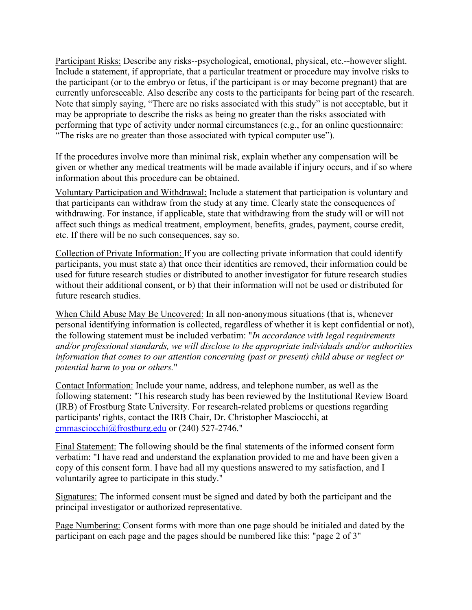Participant Risks: Describe any risks--psychological, emotional, physical, etc.--however slight. Include a statement, if appropriate, that a particular treatment or procedure may involve risks to the participant (or to the embryo or fetus, if the participant is or may become pregnant) that are currently unforeseeable. Also describe any costs to the participants for being part of the research. Note that simply saying, "There are no risks associated with this study" is not acceptable, but it may be appropriate to describe the risks as being no greater than the risks associated with performing that type of activity under normal circumstances (e.g., for an online questionnaire: "The risks are no greater than those associated with typical computer use").

If the procedures involve more than minimal risk, explain whether any compensation will be given or whether any medical treatments will be made available if injury occurs, and if so where information about this procedure can be obtained.

Voluntary Participation and Withdrawal: Include a statement that participation is voluntary and that participants can withdraw from the study at any time. Clearly state the consequences of withdrawing. For instance, if applicable, state that withdrawing from the study will or will not affect such things as medical treatment, employment, benefits, grades, payment, course credit, etc. If there will be no such consequences, say so.

Collection of Private Information: If you are collecting private information that could identify participants, you must state a) that once their identities are removed, their information could be used for future research studies or distributed to another investigator for future research studies without their additional consent, or b) that their information will not be used or distributed for future research studies.

When Child Abuse May Be Uncovered: In all non-anonymous situations (that is, whenever personal identifying information is collected, regardless of whether it is kept confidential or not), the following statement must be included verbatim: "*In accordance with legal requirements and/or professional standards, we will disclose to the appropriate individuals and/or authorities information that comes to our attention concerning (past or present) child abuse or neglect or potential harm to you or others.*"

Contact Information: Include your name, address, and telephone number, as well as the following statement: "This research study has been reviewed by the Institutional Review Board (IRB) of Frostburg State University. For research-related problems or questions regarding participants' rights, contact the IRB Chair, Dr. Christopher Masciocchi, at [cmmasciocchi@frostburg.edu](mailto:cmmasciocchi@frostburg.edu) or (240) 527-2746."

Final Statement: The following should be the final statements of the informed consent form verbatim: "I have read and understand the explanation provided to me and have been given a copy of this consent form. I have had all my questions answered to my satisfaction, and I voluntarily agree to participate in this study."

Signatures: The informed consent must be signed and dated by both the participant and the principal investigator or authorized representative.

Page Numbering: Consent forms with more than one page should be initialed and dated by the participant on each page and the pages should be numbered like this: "page 2 of 3"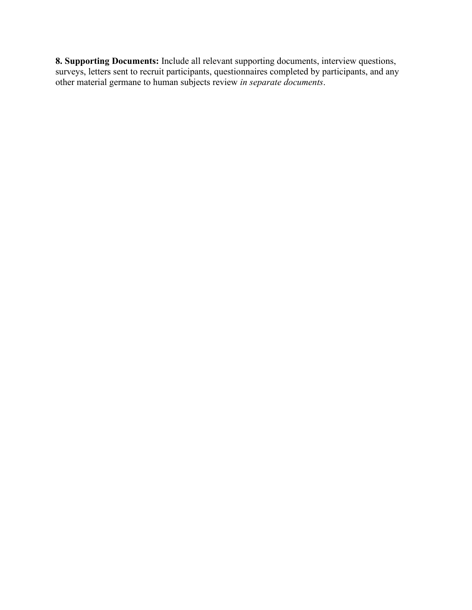**8. Supporting Documents:** Include all relevant supporting documents, interview questions, surveys, letters sent to recruit participants, questionnaires completed by participants, and any other material germane to human subjects review *in separate documents*.